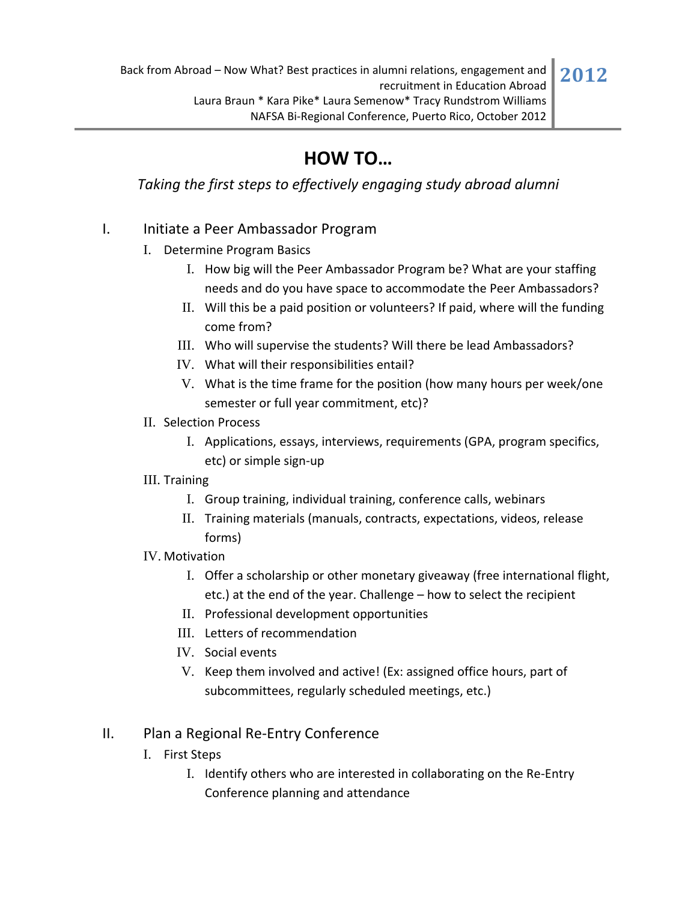## **HOW TO…**

*Taking the first steps to effectively engaging study abroad alumni*

## I. Initiate a Peer Ambassador Program

- I. Determine Program Basics
	- I. How big will the Peer Ambassador Program be? What are your staffing needs and do you have space to accommodate the Peer Ambassadors?
	- II. Will this be a paid position or volunteers? If paid, where will the funding come from?
	- III. Who will supervise the students? Will there be lead Ambassadors?
	- IV. What will their responsibilities entail?
	- V. What is the time frame for the position (how many hours per week/one semester or full year commitment, etc)?
- II. Selection Process
	- I. Applications, essays, interviews, requirements (GPA, program specifics, etc) or simple sign‐up
- III. Training
	- I. Group training, individual training, conference calls, webinars
	- II. Training materials (manuals, contracts, expectations, videos, release forms)
- IV. Motivation
	- I. Offer a scholarship or other monetary giveaway (free international flight, etc.) at the end of the year. Challenge – how to select the recipient
	- II. Professional development opportunities
	- III. Letters of recommendation
	- IV. Social events
	- V. Keep them involved and active! (Ex: assigned office hours, part of subcommittees, regularly scheduled meetings, etc.)

## II. Plan a Regional Re‐Entry Conference

- I. First Steps
	- I. Identify others who are interested in collaborating on the Re‐Entry Conference planning and attendance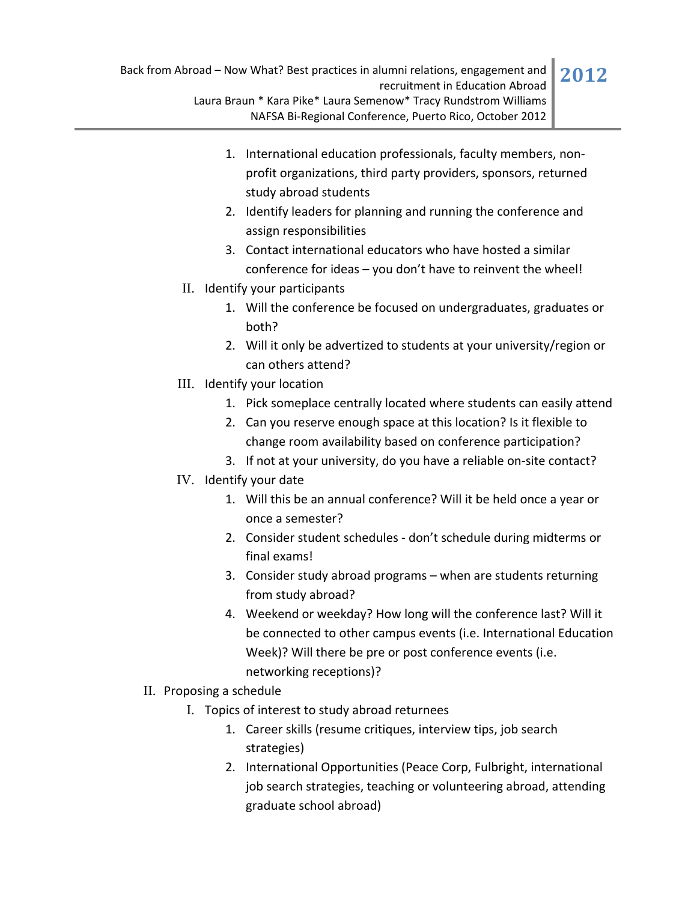- 1. International education professionals, faculty members, non‐ profit organizations, third party providers, sponsors, returned study abroad students
- 2. Identify leaders for planning and running the conference and assign responsibilities
- 3. Contact international educators who have hosted a similar conference for ideas – you don't have to reinvent the wheel!
- II. Identify your participants
	- 1. Will the conference be focused on undergraduates, graduates or both?
	- 2. Will it only be advertized to students at your university/region or can others attend?
- III. Identify your location
	- 1. Pick someplace centrally located where students can easily attend
	- 2. Can you reserve enough space at this location? Is it flexible to change room availability based on conference participation?
	- 3. If not at your university, do you have a reliable on‐site contact?
- IV. Identify your date
	- 1. Will this be an annual conference? Will it be held once a year or once a semester?
	- 2. Consider student schedules ‐ don't schedule during midterms or final exams!
	- 3. Consider study abroad programs when are students returning from study abroad?
	- 4. Weekend or weekday? How long will the conference last? Will it be connected to other campus events (i.e. International Education Week)? Will there be pre or post conference events (i.e. networking receptions)?
- II. Proposing a schedule
	- I. Topics of interest to study abroad returnees
		- 1. Career skills (resume critiques, interview tips, job search strategies)
		- 2. International Opportunities (Peace Corp, Fulbright, international job search strategies, teaching or volunteering abroad, attending graduate school abroad)